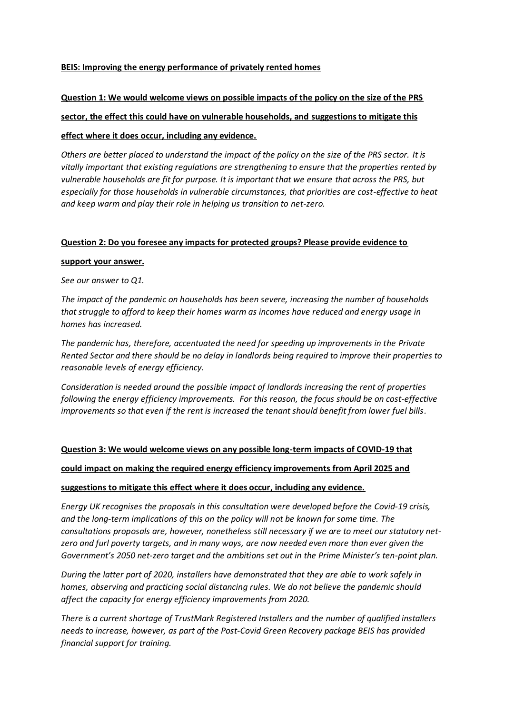#### **BEIS: Improving the energy performance of privately rented homes**

#### **Question 1: We would welcome views on possible impacts of the policy on the size of the PRS**

#### **sector, the effect this could have on vulnerable households, and suggestions to mitigate this**

#### **effect where it does occur, including any evidence.**

*Others are better placed to understand the impact of the policy on the size of the PRS sector. It is vitally important that existing regulations are strengthening to ensure that the properties rented by vulnerable households are fit for purpose. It is important that we ensure that across the PRS, but especially for those households in vulnerable circumstances, that priorities are cost-effective to heat and keep warm and play their role in helping us transition to net-zero.*

#### **Question 2: Do you foresee any impacts for protected groups? Please provide evidence to**

#### **support your answer.**

*See our answer to Q1.*

*The impact of the pandemic on households has been severe, increasing the number of households that struggle to afford to keep their homes warm as incomes have reduced and energy usage in homes has increased.*

*The pandemic has, therefore, accentuated the need for speeding up improvements in the Private Rented Sector and there should be no delay in landlords being required to improve their properties to reasonable levels of energy efficiency.*

*Consideration is needed around the possible impact of landlords increasing the rent of properties following the energy efficiency improvements. For this reason, the focus should be on cost-effective improvements so that even if the rent is increased the tenant should benefit from lower fuel bills.*

#### **Question 3: We would welcome views on any possible long-term impacts of COVID-19 that**

#### **could impact on making the required energy efficiency improvements from April 2025 and**

#### **suggestions to mitigate this effect where it does occur, including any evidence.**

*Energy UK recognises the proposals in this consultation were developed before the Covid-19 crisis, and the long-term implications of this on the policy will not be known for some time. The consultations proposals are, however, nonetheless still necessary if we are to meet our statutory netzero and furl poverty targets, and in many ways, are now needed even more than ever given the Government's 2050 net-zero target and the ambitions set out in the Prime Minister's ten-point plan.*

*During the latter part of 2020, installers have demonstrated that they are able to work safely in homes, observing and practicing social distancing rules. We do not believe the pandemic should affect the capacity for energy efficiency improvements from 2020.*

*There is a current shortage of TrustMark Registered Installers and the number of qualified installers needs to increase, however, as part of the Post-Covid Green Recovery package BEIS has provided financial support for training.*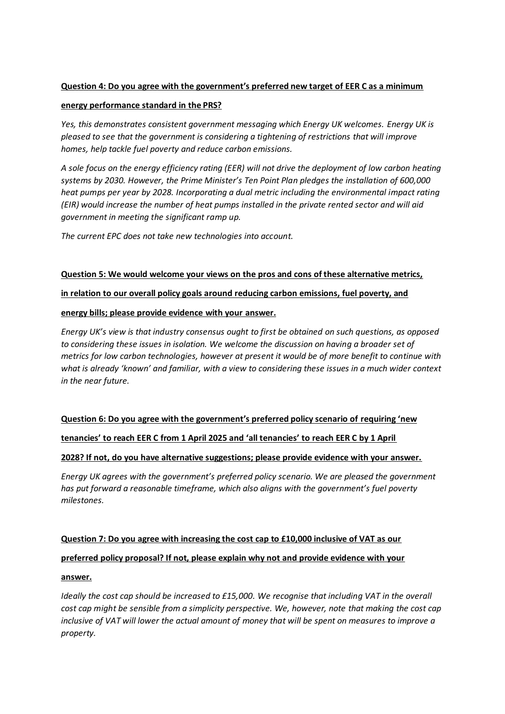### **Question 4: Do you agree with the government's preferred new target of EER C as a minimum**

#### **energy performance standard in the PRS?**

*Yes, this demonstrates consistent government messaging which Energy UK welcomes. Energy UK is pleased to see that the government is considering a tightening of restrictions that will improve homes, help tackle fuel poverty and reduce carbon emissions.* 

*A sole focus on the energy efficiency rating (EER) will not drive the deployment of low carbon heating systems by 2030. However, the Prime Minister's Ten Point Plan pledges the installation of 600,000 heat pumps per year by 2028. Incorporating a dual metric including the environmental impact rating (EIR) would increase the number of heat pumps installed in the private rented sector and will aid government in meeting the significant ramp up.*

*The current EPC does not take new technologies into account.*

#### **Question 5: We would welcome your views on the pros and cons of these alternative metrics,**

#### **in relation to our overall policy goals around reducing carbon emissions, fuel poverty, and**

#### **energy bills; please provide evidence with your answer.**

*Energy UK's view is that industry consensus ought to first be obtained on such questions, as opposed to considering these issues in isolation. We welcome the discussion on having a broader set of metrics for low carbon technologies, however at present it would be of more benefit to continue with what is already 'known' and familiar, with a view to considering these issues in a much wider context in the near future.* 

## **Question 6: Do you agree with the government's preferred policy scenario of requiring 'new**

## **tenancies' to reach EER C from 1 April 2025 and 'all tenancies' to reach EER C by 1 April**

#### **2028? If not, do you have alternative suggestions; please provide evidence with your answer.**

*Energy UK agrees with the government's preferred policy scenario. We are pleased the government has put forward a reasonable timeframe, which also aligns with the government's fuel poverty milestones.* 

## **Question 7: Do you agree with increasing the cost cap to £10,000 inclusive of VAT as our**

#### **preferred policy proposal? If not, please explain why not and provide evidence with your**

#### **answer.**

*Ideally the cost cap should be increased to £15,000. We recognise that including VAT in the overall cost cap might be sensible from a simplicity perspective. We, however, note that making the cost cap inclusive of VAT will lower the actual amount of money that will be spent on measures to improve a property.*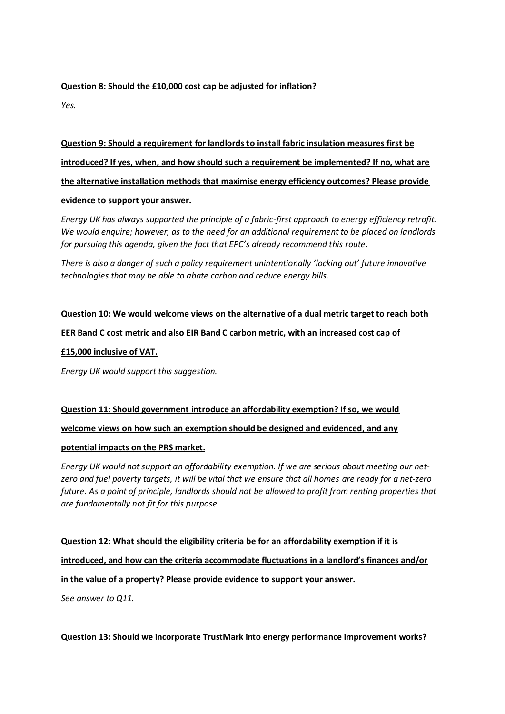## **Question 8: Should the £10,000 cost cap be adjusted for inflation?**

*Yes.*

**Question 9: Should a requirement for landlords to install fabric insulation measures first be introduced? If yes, when, and how should such a requirement be implemented? If no, what are the alternative installation methods that maximise energy efficiency outcomes? Please provide evidence to support your answer.**

*Energy UK has always supported the principle of a fabric-first approach to energy efficiency retrofit. We would enquire; however, as to the need for an additional requirement to be placed on landlords for pursuing this agenda, given the fact that EPC's already recommend this route.*

*There is also a danger of such a policy requirement unintentionally 'locking out' future innovative technologies that may be able to abate carbon and reduce energy bills.*

# **Question 10: We would welcome views on the alternative of a dual metric target to reach both EER Band C cost metric and also EIR Band C carbon metric, with an increased cost cap of £15,000 inclusive of VAT.**

*Energy UK would support this suggestion.* 

**Question 11: Should government introduce an affordability exemption? If so, we would welcome views on how such an exemption should be designed and evidenced, and any**

## **potential impacts on the PRS market.**

*Energy UK would not support an affordability exemption. If we are serious about meeting our netzero and fuel poverty targets, it will be vital that we ensure that all homes are ready for a net-zero future. As a point of principle, landlords should not be allowed to profit from renting properties that are fundamentally not fit for this purpose.*

**Question 12: What should the eligibility criteria be for an affordability exemption if it is introduced, and how can the criteria accommodate fluctuations in a landlord's finances and/or in the value of a property? Please provide evidence to support your answer.** *See answer to Q11.*

## **Question 13: Should we incorporate TrustMark into energy performance improvement works?**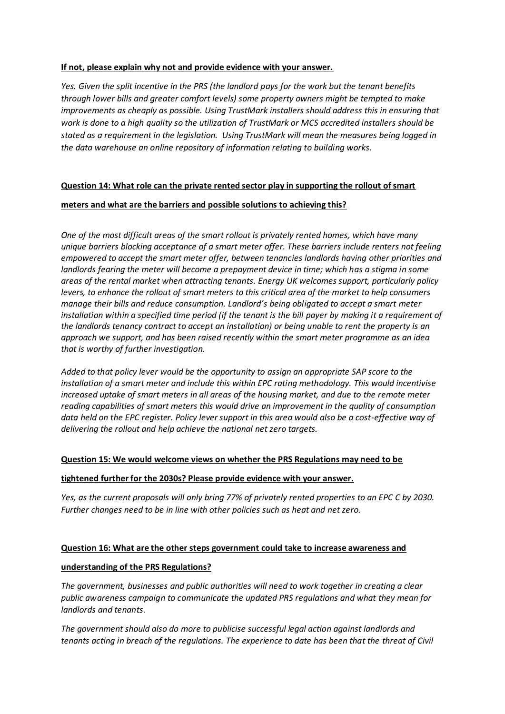#### **If not, please explain why not and provide evidence with your answer.**

*Yes. Given the split incentive in the PRS (the landlord pays for the work but the tenant benefits through lower bills and greater comfort levels) some property owners might be tempted to make improvements as cheaply as possible. Using TrustMark installers should address this in ensuring that work is done to a high quality so the utilization of TrustMark or MCS accredited installers should be stated as a requirement in the legislation. Using TrustMark will mean the measures being logged in the data warehouse an online repository of information relating to building works.*

### **Question 14: What role can the private rented sector play in supporting the rollout of smart**

### **meters and what are the barriers and possible solutions to achieving this?**

*One of the most difficult areas of the smart rollout is privately rented homes, which have many unique barriers blocking acceptance of a smart meter offer. These barriers include renters not feeling empowered to accept the smart meter offer, between tenancies landlords having other priorities and landlords fearing the meter will become a prepayment device in time; which has a stigma in some areas of the rental market when attracting tenants. Energy UK welcomes support, particularly policy levers, to enhance the rollout of smart meters to this critical area of the market to help consumers manage their bills and reduce consumption. Landlord's being obligated to accept a smart meter installation within a specified time period (if the tenant is the bill payer by making it a requirement of the landlords tenancy contract to accept an installation) or being unable to rent the property is an approach we support, and has been raised recently within the smart meter programme as an idea that is worthy of further investigation.* 

*Added to that policy lever would be the opportunity to assign an appropriate SAP score to the installation of a smart meter and include this within EPC rating methodology. This would incentivise increased uptake of smart meters in all areas of the housing market, and due to the remote meter reading capabilities of smart meters this would drive an improvement in the quality of consumption data held on the EPC register. Policy lever support in this area would also be a cost-effective way of delivering the rollout and help achieve the national net zero targets.*

#### **Question 15: We would welcome views on whether the PRS Regulations may need to be**

#### **tightened further for the 2030s? Please provide evidence with your answer.**

*Yes, as the current proposals will only bring 77% of privately rented properties to an EPC C by 2030. Further changes need to be in line with other policies such as heat and net zero.*

#### **Question 16: What are the other steps government could take to increase awareness and**

#### **understanding of the PRS Regulations?**

*The government, businesses and public authorities will need to work together in creating a clear public awareness campaign to communicate the updated PRS regulations and what they mean for landlords and tenants.*

*The government should also do more to publicise successful legal action against landlords and tenants acting in breach of the regulations. The experience to date has been that the threat of Civil*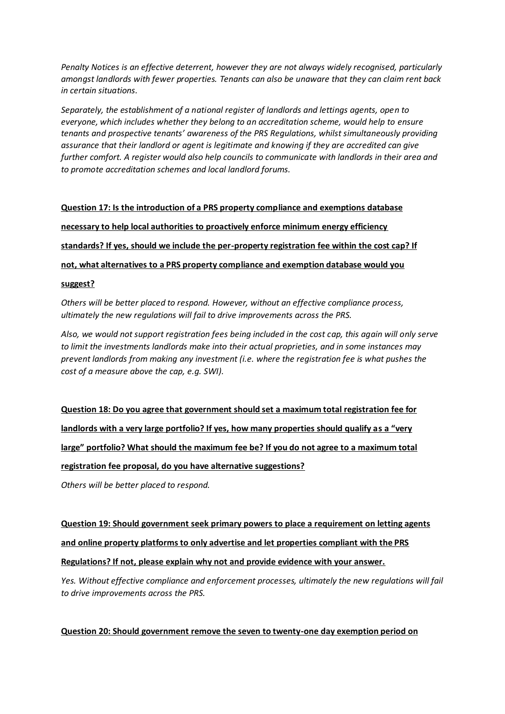*Penalty Notices is an effective deterrent, however they are not always widely recognised, particularly amongst landlords with fewer properties. Tenants can also be unaware that they can claim rent back in certain situations.* 

*Separately, the establishment of a national register of landlords and lettings agents, open to everyone, which includes whether they belong to an accreditation scheme, would help to ensure tenants and prospective tenants' awareness of the PRS Regulations, whilst simultaneously providing assurance that their landlord or agent is legitimate and knowing if they are accredited can give further comfort. A register would also help councils to communicate with landlords in their area and to promote accreditation schemes and local landlord forums.*

**Question 17: Is the introduction of a PRS property compliance and exemptions database necessary to help local authorities to proactively enforce minimum energy efficiency standards? If yes, should we include the per-property registration fee within the cost cap? If not, what alternatives to a PRS property compliance and exemption database would you**

#### **suggest?**

*Others will be better placed to respond. However, without an effective compliance process, ultimately the new regulations will fail to drive improvements across the PRS.*

*Also, we would not support registration fees being included in the cost cap, this again will only serve to limit the investments landlords make into their actual proprieties, and in some instances may prevent landlords from making any investment (i.e. where the registration fee is what pushes the cost of a measure above the cap, e.g. SWI).* 

**Question 18: Do you agree that government should set a maximum total registration fee for landlords with a very large portfolio? If yes, how many properties should qualify as a "very large" portfolio? What should the maximum fee be? If you do not agree to a maximum total registration fee proposal, do you have alternative suggestions?**

*Others will be better placed to respond.*

**Question 19: Should government seek primary powers to place a requirement on letting agents and online property platforms to only advertise and let properties compliant with the PRS Regulations? If not, please explain why not and provide evidence with your answer.**

*Yes. Without effective compliance and enforcement processes, ultimately the new regulations will fail to drive improvements across the PRS.*

#### **Question 20: Should government remove the seven to twenty-one day exemption period on**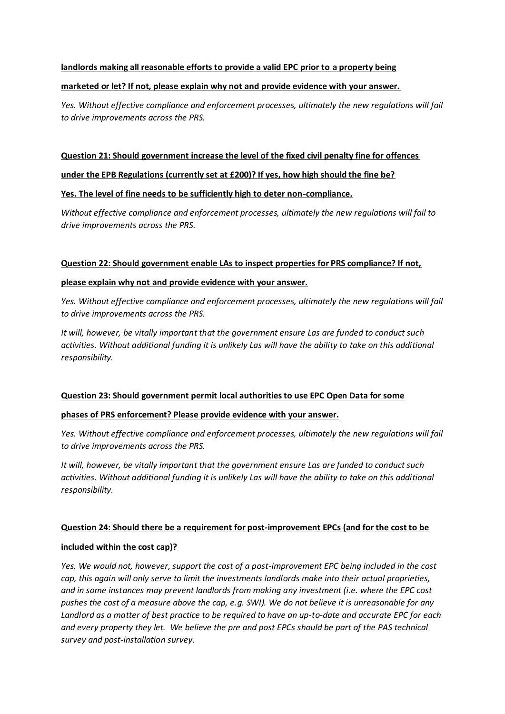#### **landlords making all reasonable efforts to provide a valid EPC prior to a property being**

#### **marketed or let? If not, please explain why not and provide evidence with your answer.**

*Yes. Without effective compliance and enforcement processes, ultimately the new regulations will fail to drive improvements across the PRS.*

#### **Question 21: Should government increase the level of the fixed civil penalty fine for offences**

### **under the EPB Regulations (currently set at £200)? If yes, how high should the fine be?**

#### **Yes. The level of fine needs to be sufficiently high to deter non-compliance.**

*Without effective compliance and enforcement processes, ultimately the new regulations will fail to drive improvements across the PRS.*

#### **Question 22: Should government enable LAs to inspect properties for PRS compliance? If not,**

#### **please explain why not and provide evidence with your answer.**

*Yes. Without effective compliance and enforcement processes, ultimately the new regulations will fail to drive improvements across the PRS.*

*It will, however, be vitally important that the government ensure Las are funded to conduct such activities. Without additional funding it is unlikely Las will have the ability to take on this additional responsibility.*

#### **Question 23: Should government permit local authorities to use EPC Open Data for some**

#### **phases of PRS enforcement? Please provide evidence with your answer.**

*Yes. Without effective compliance and enforcement processes, ultimately the new regulations will fail to drive improvements across the PRS.*

*It will, however, be vitally important that the government ensure Las are funded to conduct such activities. Without additional funding it is unlikely Las will have the ability to take on this additional responsibility.*

#### **Question 24: Should there be a requirement for post-improvement EPCs (and for the cost to be**

#### **included within the cost cap)?**

*Yes. We would not, however, support the cost of a post-improvement EPC being included in the cost cap, this again will only serve to limit the investments landlords make into their actual proprieties, and in some instances may prevent landlords from making any investment (i.e. where the EPC cost pushes the cost of a measure above the cap, e.g. SWI). We do not believe it is unreasonable for any Landlord as a matter of best practice to be required to have an up-to-date and accurate EPC for each and every property they let. We believe the pre and post EPCs should be part of the PAS technical survey and post-installation survey.*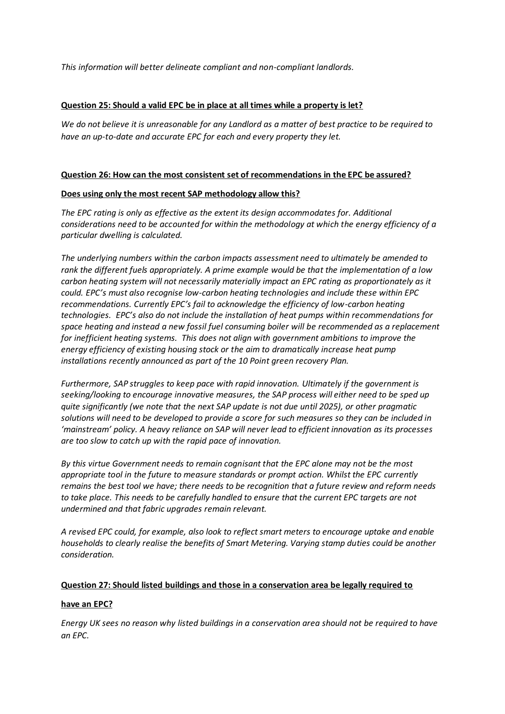*This information will better delineate compliant and non-compliant landlords.*

#### **Question 25: Should a valid EPC be in place at all times while a property is let?**

*We do not believe it is unreasonable for any Landlord as a matter of best practice to be required to have an up-to-date and accurate EPC for each and every property they let.*

#### **Question 26: How can the most consistent set of recommendations in the EPC be assured?**

#### **Does using only the most recent SAP methodology allow this?**

*The EPC rating is only as effective as the extent its design accommodates for. Additional considerations need to be accounted for within the methodology at which the energy efficiency of a particular dwelling is calculated.* 

*The underlying numbers within the carbon impacts assessment need to ultimately be amended to rank the different fuels appropriately. A prime example would be that the implementation of a low carbon heating system will not necessarily materially impact an EPC rating as proportionately as it could. EPC's must also recognise low-carbon heating technologies and include these within EPC recommendations. Currently EPC's fail to acknowledge the efficiency of low-carbon heating technologies. EPC's also do not include the installation of heat pumps within recommendations for space heating and instead a new fossil fuel consuming boiler will be recommended as a replacement for inefficient heating systems. This does not align with government ambitions to improve the energy efficiency of existing housing stock or the aim to dramatically increase heat pump installations recently announced as part of the 10 Point green recovery Plan.*

*Furthermore, SAP struggles to keep pace with rapid innovation. Ultimately if the government is seeking/looking to encourage innovative measures, the SAP process will either need to be sped up quite significantly (we note that the next SAP update is not due until 2025), or other pragmatic solutions will need to be developed to provide a score for such measures so they can be included in 'mainstream' policy. A heavy reliance on SAP will never lead to efficient innovation as its processes are too slow to catch up with the rapid pace of innovation.* 

*By this virtue Government needs to remain cognisant that the EPC alone may not be the most appropriate tool in the future to measure standards or prompt action. Whilst the EPC currently remains the best tool we have; there needs to be recognition that a future review and reform needs to take place. This needs to be carefully handled to ensure that the current EPC targets are not undermined and that fabric upgrades remain relevant.*

*A revised EPC could, for example, also look to reflect smart meters to encourage uptake and enable households to clearly realise the benefits of Smart Metering. Varying stamp duties could be another consideration.* 

#### **Question 27: Should listed buildings and those in a conservation area be legally required to**

## **have an EPC?**

*Energy UK sees no reason why listed buildings in a conservation area should not be required to have an EPC.*